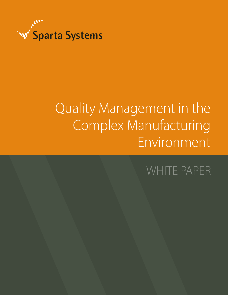

# Quality Management in the Complex Manufacturing Environment

## WHITE PAPER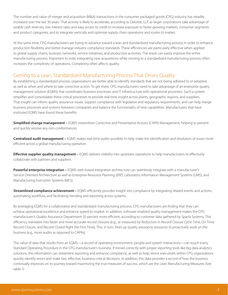The number and value of merger and acquisition (M&A) transactions in the consumer packaged goods (CPG) industry has steadily increased over the last 30 years. That activity is likely to accelerate, according to Deloitte, LLP, as larger corporations take advantage of sizable cash reserves, low interest rates and easy access to credit to increase exposure to faster-growing markets, consumer segments and product categories, and to integrate vertically and optimize supply chain operations and routes to market.

At the same time, CPG manufacturers are trying to advance toward a lean and standardized manufacturing process in order to enhance production flexibility and better manage industry compliance standards. These efficiencies are particularly effective when applied to global supply chains, business networks, service initiatives, and production activities. The result can vastly improve the entire manufacturing process. Important to note, integrating new acquisitions while moving to a standardized manufacturing process often increases the complexity of operations. Complexity often affects quality.

## Getting to a Lean, Standardized Manufacturing Process That Drives Quality

By establishing a standardized process, organizations are better able to identify standards that are not being adhered to or adopted, as well as when and where to take corrective action. To get there, CPG manufacturers need to take advantage of an enterprise quality management solution (EQMS) that coordinates business processes and IT infrastructure with operational processes. Such a system simplifies and consolidates these critical processes to provide real-time insight across plants, geographic regions, and suppliers. That insight can inform quality assurance issues, support compliance with legislative and regulatory requirements, and can help merge business processes and systems between companies and balance the functionality of new capabilities. Manufacturers that have instituted EQMS have found these benefits:

**Simplified change management –** EQMS streamlines Corrective and Preventative Actions (CAPA) Management, helping to prevent and quickly resolve any non-conformances.

**Centralized audit management –** EQMS makes real-time audits possible, to help make the identification and resolution of issues more efficient across a global manufacturing operation.

**Effective supplier quality management –** EQMS delivers visibility into upstream operations to help manufacturers to effectively collaborate with partners and suppliers.

**Powerful enterprise integration –** EQMS web-based integration architecture can seamlessly integrate with a manufacturer's Service Oriented Architecture as well as Enterprise Resource Planning (ERP), Laboratory Information Management Systems (LIMS), and Manufacturing Execution Systems (MES).

**Streamlined compliance achievement –** EQMS efficiently provides insight into compliance by integrating related events and actions, automating workflow, and facilitating trending and reporting across systems.

By leveraging EQMS for a collaborative and standardized manufacturing process, CPG manufacturers are finding that they can achieve operational excellence and enhance speed-to-market. In addition, software-enabled quality management makes the CPG manufacturer's Quality Assurance Department 35 percent more efficient, according to customer data gathered by Sparta Systems. This efficiency translates into faster and more accurate record closures (e.g., as measured by Reduction in Record Closure Cycle Time, On Time Record Closure, and Record Closed Right the First Time). This, in turn, frees up quality assurance resources to proactively work on the business (e.g., more audits as opposed to CAPAs).

The value of data that results from an EQMS—a record of operating environment, people and system interactions—can touch every Standard Operating Procedure in the CPG manufacturer's business. If mined correctly with proper reporting tools like big data analytics solutions, this information can streamline reporting and enhance compliance, as well as help senior executives within CPG organizations quickly identify errors and make fast, effective, business-critical decisions. In addition, this data provides a record of how the business continually improves on its journey toward maximizing the true measures of success, which are the Lean Manufacturing Measures (See table 1)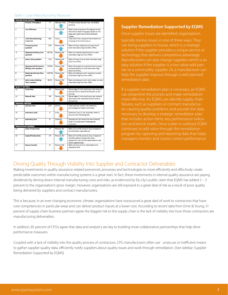#### Table 1: Lean Manufacturing Measures

| <b>PROCESS FLOW METRICS</b> |                                  |             |                      |                                                |
|-----------------------------|----------------------------------|-------------|----------------------|------------------------------------------------|
| 1                           | <b>Process Throughput</b>        | PT          | <b>Jobs per Hour</b> | Process output rate per hour of sellable       |
|                             |                                  |             |                      | product.                                       |
|                             |                                  |             |                      |                                                |
| 2                           | <b>Line Efficiency</b>           | LE          | Percent (%)          | Ratio of actual process Throughput to the      |
|                             |                                  |             |                      | theoretical ideal throughput based on the      |
|                             |                                  |             |                      | pace and cycle time at the bottleneck          |
|                             |                                  |             |                      | station.                                       |
| 3                           | <b>Total Manufacturing</b>       | <b>TML</b>  | <b>Hours</b>         | Total time from receipt of raw material to     |
|                             | <b>Lead time</b>                 |             |                      | shipping of the final product.                 |
|                             |                                  |             |                      |                                                |
| 4                           | <b>Processing time</b>           | <b>PTO</b>  | Percent (%)          | Ratio of value added processing time to        |
|                             | <b>auotient</b>                  |             |                      | total manufacturing lead time (TML).           |
|                             |                                  |             |                      |                                                |
| ٠s                          | <b>Material Handling time</b>    | <b>MHTQ</b> | Percent (%)          | Ratio of material handling time to total       |
|                             | quotient                         |             |                      | manufacturing lead time (TML).                 |
|                             |                                  |             |                      |                                                |
| 6                           | <b>Setup Time quotient</b>       | <b>STQ</b>  | Percent (%)          | Ratio of setup time to total manufacturing     |
|                             |                                  |             |                      | lead time (TML).                               |
|                             |                                  |             |                      |                                                |
| 7                           | <b>Equipment &amp; Personnel</b> | <b>EPWQ</b> | Percent (%)          | Ratio of equipment and personnel queuing       |
|                             | <b>Waiting time quotient</b>     |             |                      | and waiting time to total manufacturing        |
|                             |                                  |             |                      | lead time (TML).                               |
| 8                           | <b>Materials Waiting Time</b>    | <b>MWTQ</b> | Percent (%)          | Ratio of waiting time for materials to total   |
|                             | auotient                         |             |                      | manufacturing lead time (TML).                 |
|                             |                                  |             |                      |                                                |
| 9                           | <b>Information Waiting</b>       | <b>IWTQ</b> | Percent (%)          | Ratio of waiting time for information to total |
|                             | <b>Time quotient</b>             |             |                      | manufacturing lead time (TML).                 |
|                             |                                  |             |                      |                                                |
|                             |                                  |             |                      |                                                |
| <b>QUALITY METRICS</b>      |                                  |             |                      |                                                |
| 10                          | <b>Scrap Rate</b>                | <b>SR</b>   | Percent (%)          | Percentage of units starting as raw material   |
|                             |                                  |             |                      | that are lost as scrap from all steps in the   |
|                             |                                  |             |                      | process.                                       |
| 11                          | <b>Rework Rate</b>               | <b>RR</b>   | Percent (%)          | Percentage of units starting as raw material   |
|                             |                                  |             |                      | that have to be reworked at least once in      |
|                             |                                  |             |                      | the process.                                   |
| <b>FINANCIAL METRICS</b>    |                                  |             |                      |                                                |
| 12                          | <b>Cost per Part</b>             | <b>CPP</b>  | \$/Unit              | Total cost per unit for raw materials,         |
|                             |                                  |             |                      | processing and indirect overhead.              |
|                             |                                  |             |                      |                                                |
| 13                          | <b>Inventory Level</b>           | ïL.         | <b>Units</b>         | Inventory level of raw materials, work in      |
|                             |                                  |             |                      | process and finished goods.                    |
|                             |                                  |             |                      |                                                |
| 14                          | <b>Inventory Cost</b>            | IC.         | \$/Month             | Holding cost per month for raw material,       |
|                             |                                  |             |                      | work in process and finished goods             |
|                             |                                  |             |                      | inventory.                                     |
|                             | <b>PRODUCTIVITY METRICS</b>      |             |                      |                                                |
| 15                          | <b>Labor Productivity</b>        | LP          | Percent (%)          | Ratio of monthly product value shipped to      |
|                             |                                  |             |                      | monthly labor expenditures.                    |
|                             |                                  |             |                      |                                                |
| 16                          | <b>Capital Productivity</b>      | CP          | Percent (%)          | Ratio of monthly product value shipped to      |
|                             |                                  |             |                      | monthly capital charges [for tools,            |
|                             |                                  |             |                      | equipment and facilities] depreciation and     |
|                             |                                  |             |                      | direct expenditures.                           |
| 17                          | <b>Setup Intensity</b>           | <b>SI</b>   | Percent (%)          | Ratio of setup time to scheduled plant         |
|                             |                                  |             |                      | operating time.                                |

#### **Supplier Remediation Supported by EQMS**

Once supplier issues are identified, organizations

typically resolve issues in one of three ways. They can bring suppliers in-house, which is a strategic solution if the supplier provides a unique service or technology that delivers competitive advantage. Manufacturers can also change suppliers which is an easy solution if the supplier is a low value-add partner or a commodity supplier. Or, a manufacturer can help the supplier improve through a well-planned remediation plan.

If a supplier remediation plan is necessary, an EQMS can streamline the process and make remediation more effective. An EQMS can identify supply chain failures, such as suppliers or contract manufacturers causing quality problems, and provide the data necessary to develop a strategic remediation plan that includes action items, key performance indicacontinues to add value through the remediation program by capturing and reporting data that helps managers monitor and course-correct performance.

## Driving Quality Through Visibility Into Supplier and Contractor Deliverables

Making investments in quality assurance-related personnel, processes and technologies to more efficiently and effectively create predictable outcomes within manufacturing systems is a great start. In fact, these investments in internal quality assurance are paying dividends by driving down internal manufacturing costs and risks, as evidenced by Ely Lily's public claim that EQMS has added 2 – 3 percent to the organization's gross margin. However, organizations are still exposed to a great deal of risk as a result of poor quality being delivered by suppliers and contract manufacturers.

This is because, in an ever-changing economic climate, organizations have outsourced a great deal of work to contractors that have core competencies in particular areas and can deliver product inputs at a lower cost. According to recent data from Ernst & Young, 51 percent of supply chain business partners agree the biggest risk to the supply chain is the lack of visibility into how those contractors are manufacturing deliverables .

In addition, 85 percent of CFOs agree that data and analytics are key to building more collaborative partnerships that help drive performance measures.

Coupled with a lack of visibility into the quality process of contractors, CPG manufacturers often use unsecure or inefficient means to gather supplier quality data, efficiently notify suppliers about quality issues and work through remediation. (See sidebar: Supplier Remediation Supported by EQMS)